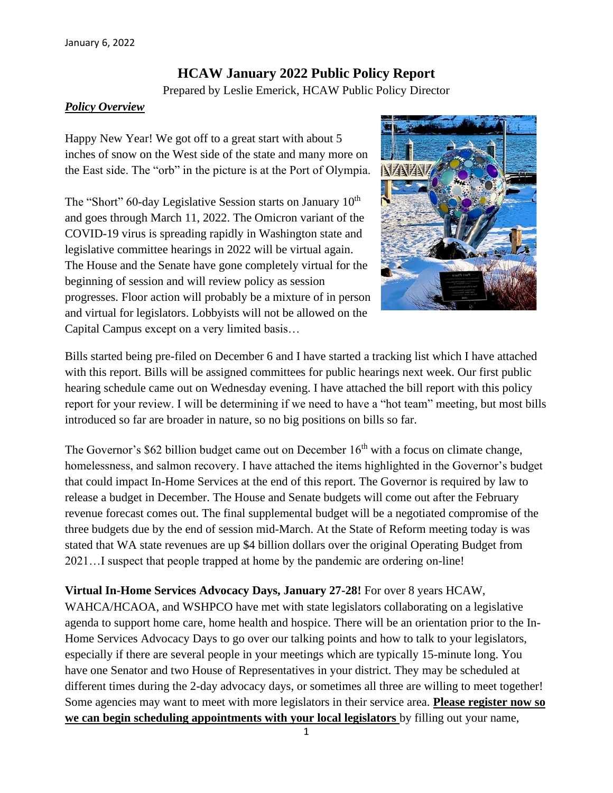# **HCAW January 2022 Public Policy Report**

Prepared by Leslie Emerick, HCAW Public Policy Director

### *Policy Overview*

Happy New Year! We got off to a great start with about 5 inches of snow on the West side of the state and many more on the East side. The "orb" in the picture is at the Port of Olympia.

The "Short" 60-day Legislative Session starts on January  $10<sup>th</sup>$ and goes through March 11, 2022. The Omicron variant of the COVID-19 virus is spreading rapidly in Washington state and legislative committee hearings in 2022 will be virtual again. The House and the Senate have gone completely virtual for the beginning of session and will review policy as session progresses. Floor action will probably be a mixture of in person and virtual for legislators. Lobbyists will not be allowed on the Capital Campus except on a very limited basis…



Bills started being pre-filed on December 6 and I have started a tracking list which I have attached with this report. Bills will be assigned committees for public hearings next week. Our first public hearing schedule came out on Wednesday evening. I have attached the bill report with this policy report for your review. I will be determining if we need to have a "hot team" meeting, but most bills introduced so far are broader in nature, so no big positions on bills so far.

The Governor's \$62 billion budget came out on December 16<sup>th</sup> with a focus on climate change, homelessness, and salmon recovery. I have attached the items highlighted in the Governor's budget that could impact In-Home Services at the end of this report. The Governor is required by law to release a budget in December. The House and Senate budgets will come out after the February revenue forecast comes out. The final supplemental budget will be a negotiated compromise of the three budgets due by the end of session mid-March. At the State of Reform meeting today is was stated that WA state revenues are up \$4 billion dollars over the original Operating Budget from 2021…I suspect that people trapped at home by the pandemic are ordering on-line!

**Virtual In-Home Services Advocacy Days, January 27-28!** For over 8 years HCAW, WAHCA/HCAOA, and WSHPCO have met with state legislators collaborating on a legislative agenda to support home care, home health and hospice. There will be an orientation prior to the In-Home Services Advocacy Days to go over our talking points and how to talk to your legislators, especially if there are several people in your meetings which are typically 15-minute long. You have one Senator and two House of Representatives in your district. They may be scheduled at different times during the 2-day advocacy days, or sometimes all three are willing to meet together! Some agencies may want to meet with more legislators in their service area. **Please register now so we can begin scheduling appointments with your local legislators** by filling out your name,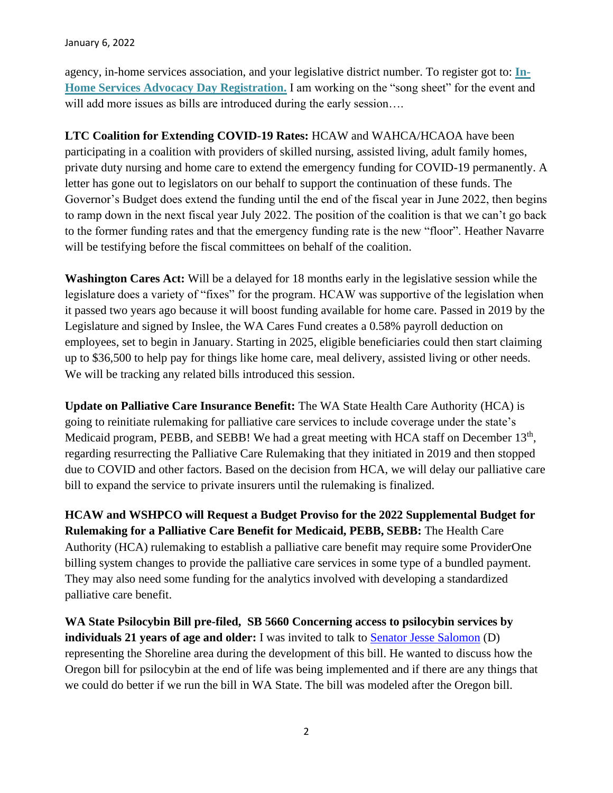agency, in-home services association, and your legislative district number. To register got to: **[In-](https://forms.gle/3yf51Zu2YdynLz79A)[Home Services Advocacy Day Registration.](https://forms.gle/3yf51Zu2YdynLz79A)** I am working on the "song sheet" for the event and will add more issues as bills are introduced during the early session....

**LTC Coalition for Extending COVID-19 Rates:** HCAW and WAHCA/HCAOA have been participating in a coalition with providers of skilled nursing, assisted living, adult family homes, private duty nursing and home care to extend the emergency funding for COVID-19 permanently. A letter has gone out to legislators on our behalf to support the continuation of these funds. The Governor's Budget does extend the funding until the end of the fiscal year in June 2022, then begins to ramp down in the next fiscal year July 2022. The position of the coalition is that we can't go back to the former funding rates and that the emergency funding rate is the new "floor". Heather Navarre will be testifying before the fiscal committees on behalf of the coalition.

**Washington Cares Act:** Will be a delayed for 18 months early in the legislative session while the legislature does a variety of "fixes" for the program. HCAW was supportive of the legislation when it passed two years ago because it will boost funding available for home care. Passed in 2019 by the Legislature and signed by Inslee, the WA Cares Fund creates a 0.58% payroll deduction on employees, set to begin in January. Starting in 2025, eligible beneficiaries could then start claiming up to \$36,500 to help pay for things like home care, meal delivery, assisted living or other needs. We will be tracking any related bills introduced this session.

**Update on Palliative Care Insurance Benefit:** The WA State Health Care Authority (HCA) is going to reinitiate rulemaking for palliative care services to include coverage under the state's Medicaid program, PEBB, and SEBB! We had a great meeting with HCA staff on December 13<sup>th</sup>, regarding resurrecting the Palliative Care Rulemaking that they initiated in 2019 and then stopped due to COVID and other factors. Based on the decision from HCA, we will delay our palliative care bill to expand the service to private insurers until the rulemaking is finalized.

**HCAW and WSHPCO will Request a Budget Proviso for the 2022 Supplemental Budget for Rulemaking for a Palliative Care Benefit for Medicaid, PEBB, SEBB:** The Health Care Authority (HCA) rulemaking to establish a palliative care benefit may require some ProviderOne billing system changes to provide the palliative care services in some type of a bundled payment. They may also need some funding for the analytics involved with developing a standardized palliative care benefit.

**WA State Psilocybin Bill pre-filed, SB 5660 Concerning access to psilocybin services by individuals 21 years of age and older:** I was invited to talk to **Senator Jesse Salomon** (D) representing the Shoreline area during the development of this bill. He wanted to discuss how the Oregon bill for psilocybin at the end of life was being implemented and if there are any things that we could do better if we run the bill in WA State. The bill was modeled after the Oregon bill.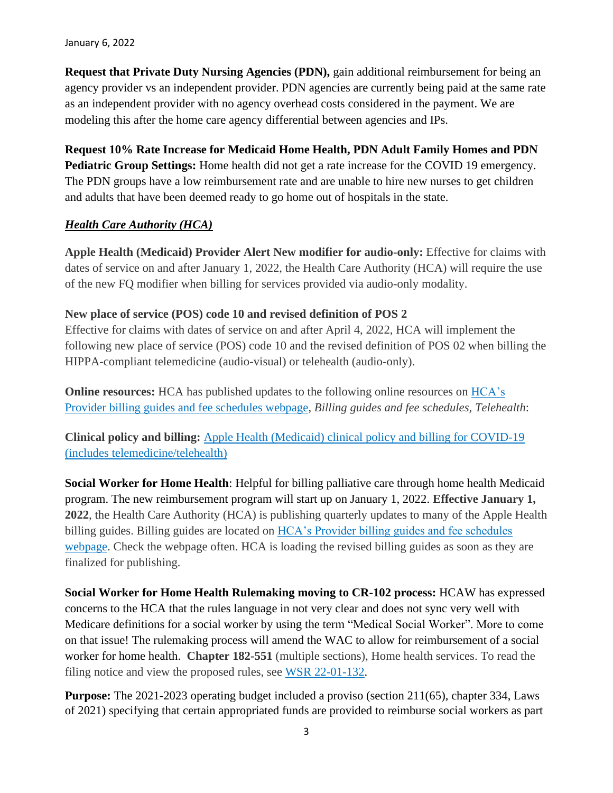January 6, 2022

**Request that Private Duty Nursing Agencies (PDN),** gain additional reimbursement for being an agency provider vs an independent provider. PDN agencies are currently being paid at the same rate as an independent provider with no agency overhead costs considered in the payment. We are modeling this after the home care agency differential between agencies and IPs.

**Request 10% Rate Increase for Medicaid Home Health, PDN Adult Family Homes and PDN Pediatric Group Settings:** Home health did not get a rate increase for the COVID 19 emergency. The PDN groups have a low reimbursement rate and are unable to hire new nurses to get children and adults that have been deemed ready to go home out of hospitals in the state.

### *Health Care Authority (HCA)*

**Apple Health (Medicaid) Provider Alert New modifier for audio-only:** Effective for claims with dates of service on and after January 1, 2022, the Health Care Authority (HCA) will require the use of the new FQ modifier when billing for services provided via audio-only modality.

#### **New place of service (POS) code 10 and revised definition of POS 2**

Effective for claims with dates of service on and after April 4, 2022, HCA will implement the following new place of service (POS) code 10 and the revised definition of POS 02 when billing the HIPPA-compliant telemedicine (audio-visual) or telehealth (audio-only).

**Online resources:** HCA has published updates to the following online resources on HCA's [Provider billing guides and fee schedules webpage,](https://na01.safelinks.protection.outlook.com/?url=https%3A%2F%2Flnks.gd%2Fl%2FeyJhbGciOiJIUzI1NiJ9.eyJidWxsZXRpbl9saW5rX2lkIjoxMDIsInVyaSI6ImJwMjpjbGljayIsImJ1bGxldGluX2lkIjoiMjAyMTEyMTcuNTA0ODU1OTEiLCJ1cmwiOiJodHRwczovL3d3dy5oY2Eud2EuZ292L25vZGUvMzAxIn0.BccEX_MSdCPuksImCQVFkYIhihuEbkUxgZbAXoHYkcA%2Fs%2F592002945%2Fbr%2F123344745014-l&data=04%7C01%7C%7Cd17c7e4d53474885904b08d9c17fa7c7%7C84df9e7fe9f640afb435aaaaaaaaaaaa%7C1%7C0%7C637753576291266012%7CUnknown%7CTWFpbGZsb3d8eyJWIjoiMC4wLjAwMDAiLCJQIjoiV2luMzIiLCJBTiI6Ik1haWwiLCJXVCI6Mn0%3D%7C3000&sdata=ITUeRf%2FWxagZTMItkD2lAg00vGyLxsoionhfOApRULg%3D&reserved=0) *Billing guides and fee schedules, Telehealth*:

**Clinical policy and billing:** [Apple Health \(Medicaid\) clinical policy and billing for COVID-19](https://na01.safelinks.protection.outlook.com/?url=https%3A%2F%2Flnks.gd%2Fl%2FeyJhbGciOiJIUzI1NiJ9.eyJidWxsZXRpbl9saW5rX2lkIjoxMDMsInVyaSI6ImJwMjpjbGljayIsImJ1bGxldGluX2lkIjoiMjAyMTEyMTcuNTA0ODU1OTEiLCJ1cmwiOiJodHRwczovL3d3dy5oY2Eud2EuZ292L2Fzc2V0cy9iaWxsZXJzLWFuZC1wcm92aWRlcnMvYXBwbGUtaGVhbHRoLWNsaW5pY2FsLXBvbGljeS1hbmQtYmlsbGluZy1DT1ZJRDE5LWZhcS0yMDIxMTIwOS5wZGYifQ.Jb5Jwuw4e_zLWfKhsnNwTGd7LCTPnOEwyhxI2s-n-Xc%2Fs%2F592002945%2Fbr%2F123344745014-l&data=04%7C01%7C%7Cd17c7e4d53474885904b08d9c17fa7c7%7C84df9e7fe9f640afb435aaaaaaaaaaaa%7C1%7C0%7C637753576291266012%7CUnknown%7CTWFpbGZsb3d8eyJWIjoiMC4wLjAwMDAiLCJQIjoiV2luMzIiLCJBTiI6Ik1haWwiLCJXVCI6Mn0%3D%7C3000&sdata=zCvXFx1SkZ4NAXSYzTzD9U7g%2BRjGXCTeRw5PNYCyDWg%3D&reserved=0)  [\(includes telemedicine/telehealth\)](https://na01.safelinks.protection.outlook.com/?url=https%3A%2F%2Flnks.gd%2Fl%2FeyJhbGciOiJIUzI1NiJ9.eyJidWxsZXRpbl9saW5rX2lkIjoxMDMsInVyaSI6ImJwMjpjbGljayIsImJ1bGxldGluX2lkIjoiMjAyMTEyMTcuNTA0ODU1OTEiLCJ1cmwiOiJodHRwczovL3d3dy5oY2Eud2EuZ292L2Fzc2V0cy9iaWxsZXJzLWFuZC1wcm92aWRlcnMvYXBwbGUtaGVhbHRoLWNsaW5pY2FsLXBvbGljeS1hbmQtYmlsbGluZy1DT1ZJRDE5LWZhcS0yMDIxMTIwOS5wZGYifQ.Jb5Jwuw4e_zLWfKhsnNwTGd7LCTPnOEwyhxI2s-n-Xc%2Fs%2F592002945%2Fbr%2F123344745014-l&data=04%7C01%7C%7Cd17c7e4d53474885904b08d9c17fa7c7%7C84df9e7fe9f640afb435aaaaaaaaaaaa%7C1%7C0%7C637753576291266012%7CUnknown%7CTWFpbGZsb3d8eyJWIjoiMC4wLjAwMDAiLCJQIjoiV2luMzIiLCJBTiI6Ik1haWwiLCJXVCI6Mn0%3D%7C3000&sdata=zCvXFx1SkZ4NAXSYzTzD9U7g%2BRjGXCTeRw5PNYCyDWg%3D&reserved=0)

**Social Worker for Home Health**: Helpful for billing palliative care through home health Medicaid program. The new reimbursement program will start up on January 1, 2022. **Effective January 1, 2022**, the Health Care Authority (HCA) is publishing quarterly updates to many of the Apple Health billing guides. Billing guides are located on [HCA's Provider billing guides and fee schedules](https://lnks.gd/l/eyJhbGciOiJIUzI1NiJ9.eyJidWxsZXRpbl9saW5rX2lkIjoxMDIsInVyaSI6ImJwMjpjbGljayIsImJ1bGxldGluX2lkIjoiMjAyMTEyMjIuNTA3MzczMzEiLCJ1cmwiOiJodHRwczovL3d3dy5oY2Eud2EuZ292L25vZGUvMzAxIn0.PFDb99LDMEQyY3EWKhSGTeLnF5ypetVjsCe_Hya5P8Y/s/2116560587/br/123639864496-l)  [webpage.](https://lnks.gd/l/eyJhbGciOiJIUzI1NiJ9.eyJidWxsZXRpbl9saW5rX2lkIjoxMDIsInVyaSI6ImJwMjpjbGljayIsImJ1bGxldGluX2lkIjoiMjAyMTEyMjIuNTA3MzczMzEiLCJ1cmwiOiJodHRwczovL3d3dy5oY2Eud2EuZ292L25vZGUvMzAxIn0.PFDb99LDMEQyY3EWKhSGTeLnF5ypetVjsCe_Hya5P8Y/s/2116560587/br/123639864496-l) Check the webpage often. HCA is loading the revised billing guides as soon as they are finalized for publishing.

**Social Worker for Home Health Rulemaking moving to CR-102 process:** HCAW has expressed concerns to the HCA that the rules language in not very clear and does not sync very well with Medicare definitions for a social worker by using the term "Medical Social Worker". More to come on that issue! The rulemaking process will amend the WAC to allow for reimbursement of a social worker for home health. **Chapter 182-551** (multiple sections), Home health services. To read the filing notice and view the proposed rules, see [WSR 22-01-132.](https://lnks.gd/l/eyJhbGciOiJIUzI1NiJ9.eyJidWxsZXRpbl9saW5rX2lkIjoxMDUsInVyaSI6ImJwMjpjbGljayIsImJ1bGxldGluX2lkIjoiMjAyMTEyMjMuNTA3ODAzMDEiLCJ1cmwiOiJodHRwczovL3d3dy5oY2Eud2EuZ292L2Fzc2V0cy8xMDItMjItMDEtMTMyLnBkZiJ9.B9rk3bwEjAEDGBrjqz2dc0-1308NDXkj-SIplwtRFPw/s/2116560587/br/123684464002-l)

**Purpose:** The 2021-2023 operating budget included a proviso (section 211(65), chapter 334, Laws of 2021) specifying that certain appropriated funds are provided to reimburse social workers as part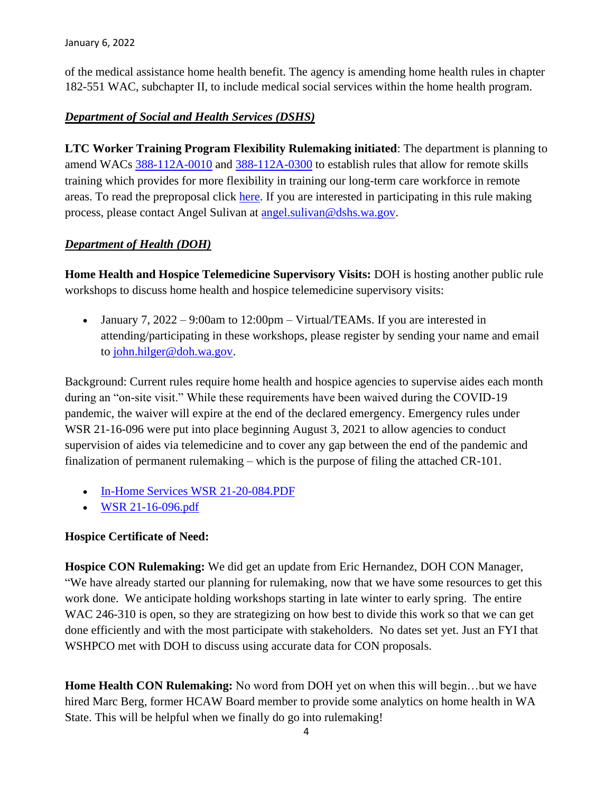of the medical assistance home health benefit. The agency is amending home health rules in chapter 182-551 WAC, subchapter II, to include medical social services within the home health program.

## *Department of Social and Health Services (DSHS)*

**LTC Worker Training Program Flexibility Rulemaking initiated**: The department is planning to amend WACs  $\frac{388-112A-0010}{2}$  and  $\frac{388-112A-0300}{2}$  to establish rules that allow for remote skills training which provides for more flexibility in training our long-term care workforce in remote areas. To read the preproposal click [here.](https://lnks.gd/l/eyJhbGciOiJIUzI1NiJ9.eyJidWxsZXRpbl9saW5rX2lkIjoxMDMsInVyaSI6ImJwMjpjbGljayIsImJ1bGxldGluX2lkIjoiMjAyMTExMDIuNDgyOTA2MTEiLCJ1cmwiOiJodHRwczovL3d3dy5kc2hzLndhLmdvdi9zaXRlcy9kZWZhdWx0L2ZpbGVzL3JwYXUvZG9jdW1lbnRzLzEwMS0yMS0yMi0wNzYucGRmP3V0bV9tZWRpdW09ZW1haWwmdXRtX3NvdXJjZT1nb3ZkZWxpdmVyeSJ9.jW7ZFiKJOgnh0LleAmyoqsWhpn9XfFrgUObBMRpdoxU/s/815314662/br/116522721160-l) If you are interested in participating in this rule making process, please contact Angel Sulivan at [angel.sulivan@dshs.wa.gov.](mailto:angel.sulivan@dshs.wa.gov)

### *Department of Health (DOH)*

**Home Health and Hospice Telemedicine Supervisory Visits:** DOH is hosting another public rule workshops to discuss home health and hospice telemedicine supervisory visits:

• January 7,  $2022 - 9:00$ am to  $12:00$ pm – Virtual/TEAMs. If you are interested in attending/participating in these workshops, please register by sending your name and email to [john.hilger@doh.wa.gov.](mailto:john.hilger@doh.wa.gov)

Background: Current rules require home health and hospice agencies to supervise aides each month during an "on-site visit." While these requirements have been waived during the COVID-19 pandemic, the waiver will expire at the end of the declared emergency. Emergency rules under WSR 21-16-096 were put into place beginning August 3, 2021 to allow agencies to conduct supervision of aides via telemedicine and to cover any gap between the end of the pandemic and finalization of permanent rulemaking – which is the purpose of filing the attached CR-101.

- [In-Home Services WSR 21-20-084.PDF](https://lnks.gd/l/eyJhbGciOiJIUzI1NiJ9.eyJidWxsZXRpbl9saW5rX2lkIjoxMDAsInVyaSI6ImJwMjpjbGljayIsImJ1bGxldGluX2lkIjoiMjAyMTExMjQuNDkzNTUyMDEiLCJ1cmwiOiJodHRwczovL2NvbnRlbnQuZ292ZGVsaXZlcnkuY29tL2F0dGFjaG1lbnRzL1dBRE9ILzIwMjEvMTEvMjQvZmlsZV9hdHRhY2htZW50cy8yMDA1NjAzL0luLUhvbWUlMjBTZXJ2aWNlcyUyMFdTUiUyMDIxLTIwLTA4NC5QREYifQ.2KM6WI_ejY5Cm0-wXFhkq0GJj9nJyOiAlwIE1KCiM0c/s/717258116/br/121696839483-l)
- [WSR 21-16-096.pdf](https://lnks.gd/l/eyJhbGciOiJIUzI1NiJ9.eyJidWxsZXRpbl9saW5rX2lkIjoxMDEsInVyaSI6ImJwMjpjbGljayIsImJ1bGxldGluX2lkIjoiMjAyMTExMjQuNDkzNTUyMDEiLCJ1cmwiOiJodHRwczovL2NvbnRlbnQuZ292ZGVsaXZlcnkuY29tL2F0dGFjaG1lbnRzL1dBRE9ILzIwMjEvMTEvMjQvZmlsZV9hdHRhY2htZW50cy8yMDA1NjEyL1dTUiUyMDIxLTE2LTA5Ni5wZGYifQ.HyxNxHyV0yeUScEi1RKHOCtANvaXc76Wwdtpn-gmwPw/s/717258116/br/121696839483-l)

### **Hospice Certificate of Need:**

**Hospice CON Rulemaking:** We did get an update from Eric Hernandez, DOH CON Manager, "We have already started our planning for rulemaking, now that we have some resources to get this work done. We anticipate holding workshops starting in late winter to early spring. The entire WAC 246-310 is open, so they are strategizing on how best to divide this work so that we can get done efficiently and with the most participate with stakeholders. No dates set yet. Just an FYI that WSHPCO met with DOH to discuss using accurate data for CON proposals.

**Home Health CON Rulemaking:** No word from DOH yet on when this will begin…but we have hired Marc Berg, former HCAW Board member to provide some analytics on home health in WA State. This will be helpful when we finally do go into rulemaking!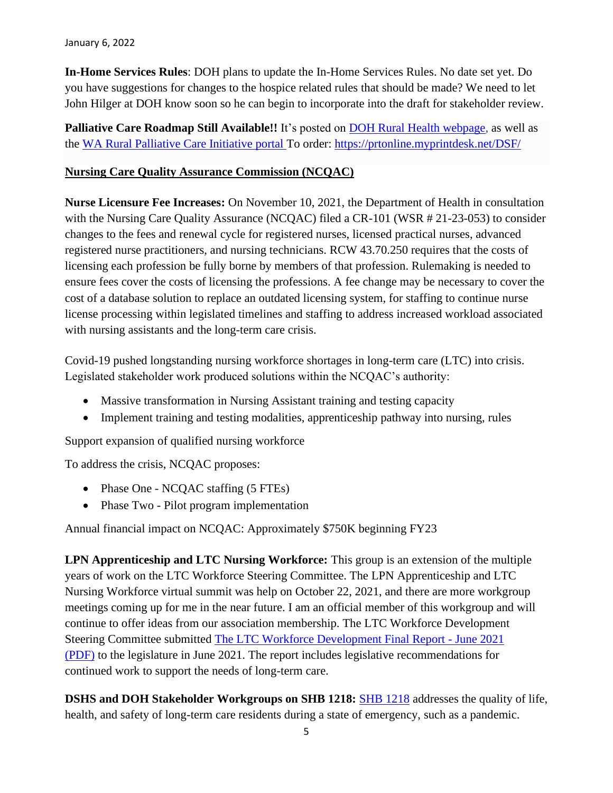**In-Home Services Rules**: DOH plans to update the In-Home Services Rules. No date set yet. Do you have suggestions for changes to the hospice related rules that should be made? We need to let John Hilger at DOH know soon so he can begin to incorporate into the draft for stakeholder review.

**Palliative Care Roadmap Still Available!!** It's posted on [DOH Rural Health webpage,](https://www.doh.wa.gov/ForPublicHealthandHealthcareProviders/RuralHealth) as well as the [WA Rural Palliative Care Initiative portal T](https://waportal.org/partners/home/washington-rural-palliative-care-initiative)o order: <https://prtonline.myprintdesk.net/DSF/>

#### **Nursing Care Quality Assurance Commission (NCQAC)**

**Nurse Licensure Fee Increases:** On November 10, 2021, the Department of Health in consultation with the Nursing Care Quality Assurance (NCQAC) filed a CR-101 (WSR # 21-23-053) to consider changes to the fees and renewal cycle for registered nurses, licensed practical nurses, advanced registered nurse practitioners, and nursing technicians. RCW 43.70.250 requires that the costs of licensing each profession be fully borne by members of that profession. Rulemaking is needed to ensure fees cover the costs of licensing the professions. A fee change may be necessary to cover the cost of a database solution to replace an outdated licensing system, for staffing to continue nurse license processing within legislated timelines and staffing to address increased workload associated with nursing assistants and the long-term care crisis.

Covid-19 pushed longstanding nursing workforce shortages in long-term care (LTC) into crisis. Legislated stakeholder work produced solutions within the NCQAC's authority:

- Massive transformation in Nursing Assistant training and testing capacity
- Implement training and testing modalities, apprenticeship pathway into nursing, rules

Support expansion of qualified nursing workforce

To address the crisis, NCQAC proposes:

- Phase One NCQAC staffing (5 FTEs)
- Phase Two Pilot program implementation

Annual financial impact on NCQAC: Approximately \$750K beginning FY23

**LPN Apprenticeship and LTC Nursing Workforce:** This group is an extension of the multiple years of work on the LTC Workforce Steering Committee. The LPN Apprenticeship and LTC Nursing Workforce virtual summit was help on October 22, 2021, and there are more workgroup meetings coming up for me in the near future. I am an official member of this workgroup and will continue to offer ideas from our association membership. The LTC Workforce Development Steering Committee submitted [The LTC Workforce Development Final Report -](https://www.doh.wa.gov/Portals/1/Documents/6000/2021LTCWorkforceDevelopmentReport.pdf) June 2021 [\(PDF\)](https://www.doh.wa.gov/Portals/1/Documents/6000/2021LTCWorkforceDevelopmentReport.pdf) to the legislature in June 2021. The report includes legislative recommendations for continued work to support the needs of long-term care.

**DSHS and DOH Stakeholder Workgroups on SHB 1218:** [SHB 1218](https://app.leg.wa.gov/billsummary?BillNumber=1218&Year=2021&Initiative=false) addresses the quality of life, health, and safety of long-term care residents during a state of emergency, such as a pandemic.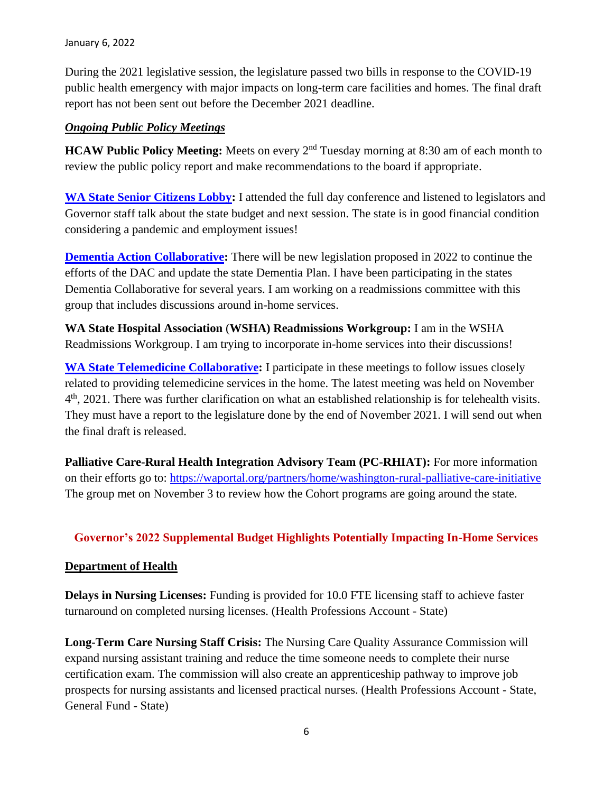During the 2021 legislative session, the legislature passed two bills in response to the COVID-19 public health emergency with major impacts on long-term care facilities and homes. The final draft report has not been sent out before the December 2021 deadline.

### *Ongoing Public Policy Meetings*

**HCAW Public Policy Meeting:** Meets on every 2<sup>nd</sup> Tuesday morning at 8:30 am of each month to review the public policy report and make recommendations to the board if appropriate.

**[WA State Senior Citizens Lobby:](https://www.waseniorlobby.org/)** I attended the full day conference and listened to legislators and Governor staff talk about the state budget and next session. The state is in good financial condition considering a pandemic and employment issues!

**[Dementia Action Collaborative:](https://www.dshs.wa.gov/altsa/dementia-action-collaborative)** There will be new legislation proposed in 2022 to continue the efforts of the DAC and update the state Dementia Plan. I have been participating in the states Dementia Collaborative for several years. I am working on a readmissions committee with this group that includes discussions around in-home services.

**WA State Hospital Association** (**WSHA) Readmissions Workgroup:** I am in the WSHA Readmissions Workgroup. I am trying to incorporate in-home services into their discussions!

**[WA State Telemedicine Collaborative:](https://www.wsha.org/policy-advocacy/issues/telemedicine/washington-state-telemedicine-collaborative/)** I participate in these meetings to follow issues closely related to providing telemedicine services in the home. The latest meeting was held on November 4<sup>th</sup>, 2021. There was further clarification on what an established relationship is for telehealth visits. They must have a report to the legislature done by the end of November 2021. I will send out when the final draft is released.

**Palliative Care-Rural Health Integration Advisory Team (PC-RHIAT):** For more information on their efforts go to:<https://waportal.org/partners/home/washington-rural-palliative-care-initiative> The group met on November 3 to review how the Cohort programs are going around the state.

### **Governor's 2022 Supplemental Budget Highlights Potentially Impacting In-Home Services**

### **Department of Health**

**Delays in Nursing Licenses:** Funding is provided for 10.0 FTE licensing staff to achieve faster turnaround on completed nursing licenses. (Health Professions Account - State)

**Long-Term Care Nursing Staff Crisis:** The Nursing Care Quality Assurance Commission will expand nursing assistant training and reduce the time someone needs to complete their nurse certification exam. The commission will also create an apprenticeship pathway to improve job prospects for nursing assistants and licensed practical nurses. (Health Professions Account - State, General Fund - State)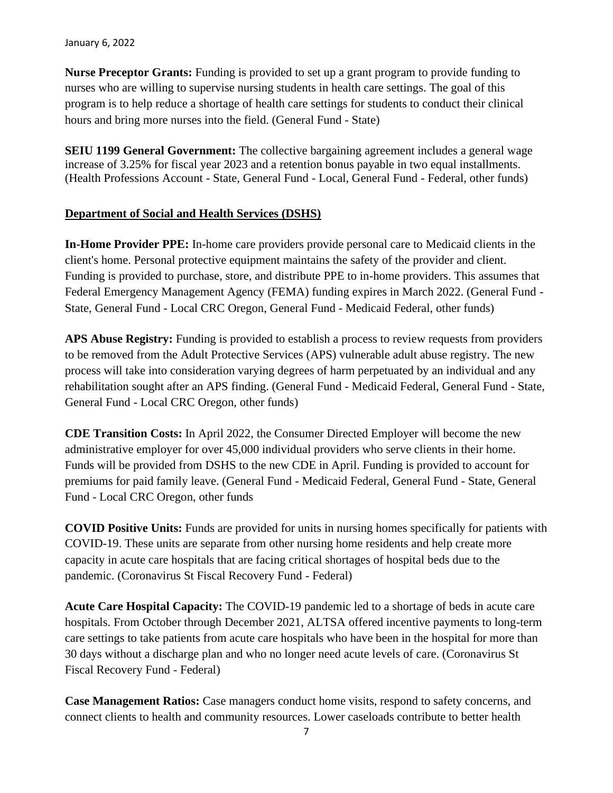#### January 6, 2022

**Nurse Preceptor Grants:** Funding is provided to set up a grant program to provide funding to nurses who are willing to supervise nursing students in health care settings. The goal of this program is to help reduce a shortage of health care settings for students to conduct their clinical hours and bring more nurses into the field. (General Fund - State)

**SEIU 1199 General Government:** The collective bargaining agreement includes a general wage increase of 3.25% for fiscal year 2023 and a retention bonus payable in two equal installments. (Health Professions Account - State, General Fund - Local, General Fund - Federal, other funds)

#### **Department of Social and Health Services (DSHS)**

**In-Home Provider PPE:** In-home care providers provide personal care to Medicaid clients in the client's home. Personal protective equipment maintains the safety of the provider and client. Funding is provided to purchase, store, and distribute PPE to in-home providers. This assumes that Federal Emergency Management Agency (FEMA) funding expires in March 2022. (General Fund - State, General Fund - Local CRC Oregon, General Fund - Medicaid Federal, other funds)

**APS Abuse Registry:** Funding is provided to establish a process to review requests from providers to be removed from the Adult Protective Services (APS) vulnerable adult abuse registry. The new process will take into consideration varying degrees of harm perpetuated by an individual and any rehabilitation sought after an APS finding. (General Fund - Medicaid Federal, General Fund - State, General Fund - Local CRC Oregon, other funds)

**CDE Transition Costs:** In April 2022, the Consumer Directed Employer will become the new administrative employer for over 45,000 individual providers who serve clients in their home. Funds will be provided from DSHS to the new CDE in April. Funding is provided to account for premiums for paid family leave. (General Fund - Medicaid Federal, General Fund - State, General Fund - Local CRC Oregon, other funds

**COVID Positive Units:** Funds are provided for units in nursing homes specifically for patients with COVID-19. These units are separate from other nursing home residents and help create more capacity in acute care hospitals that are facing critical shortages of hospital beds due to the pandemic. (Coronavirus St Fiscal Recovery Fund - Federal)

**Acute Care Hospital Capacity:** The COVID-19 pandemic led to a shortage of beds in acute care hospitals. From October through December 2021, ALTSA offered incentive payments to long-term care settings to take patients from acute care hospitals who have been in the hospital for more than 30 days without a discharge plan and who no longer need acute levels of care. (Coronavirus St Fiscal Recovery Fund - Federal)

**Case Management Ratios:** Case managers conduct home visits, respond to safety concerns, and connect clients to health and community resources. Lower caseloads contribute to better health